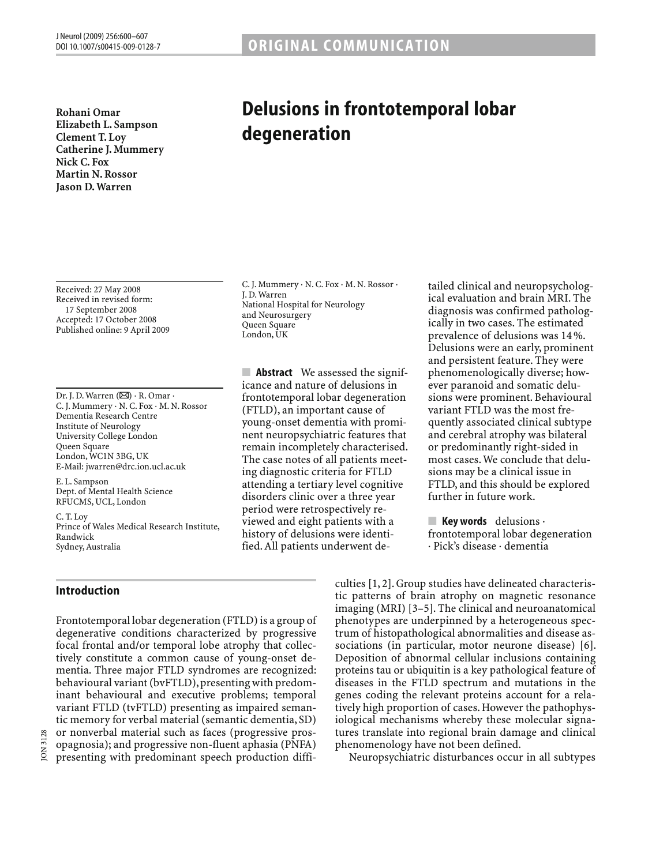**Rohani Omar Elizabeth L. Sampson Clement T. Loy Catherine J. Mummery Nick C. Fox Martin N. Rossor Jason D. Warren**

Received: 27 May 2008 Received in revised form: 17 September 2008 Accepted: 17 October 2008 Published online: 9 April 2009

Dr. J. D. Warren (⊠) · R. Omar · C. J. Mummery · N. C. Fox · M. N. Rossor Dementia Research Centre Institute of Neurology University College London Queen Square London, WC1N 3BG, UK E-Mail: jwarren@drc.ion.ucl.ac.uk

E. L. Sampson Dept. of Mental Health Science RFUCMS, UCL, London

C. T. Loy Prince of Wales Medical Research Institute, Randwick Sydney, Australia

# Introduction

Frontotemporal lobar degeneration (FTLD) is a group of degenerative conditions characterized by progressive focal frontal and/or temporal lobe atrophy that collectively constitute a common cause of young-onset dementia. Three major FTLD syndromes are recognized: behavioural variant (bvFTLD), presenting with predominant behavioural and executive problems; temporal variant FTLD (tvFTLD) presenting as impaired semantic memory for verbal material (semantic dementia, SD) or nonverbal material such as faces (progressive prosopagnosia); and progressive non-fluent aphasia (PNFA) presenting with predominant speech production diffi-

Delusions in frontotemporal lobar degeneration

C. J. Mummery · N. C. Fox · M. N. Rossor · J. D. Warren National Hospital for Neurology and Neurosurgery Queen Square London, UK

■ **Abstract** We assessed the significance and nature of delusions in frontotemporal lobar degeneration (FTLD), an important cause of young-onset dementia with prominent neuropsychiatric features that remain incompletely characterised. The case notes of all patients meeting diagnostic criteria for FTLD attending a tertiary level cognitive disorders clinic over a three year period were retrospectively reviewed and eight patients with a history of delusions were identified. All patients underwent detailed clinical and neuropsychological evaluation and brain MRI. The diagnosis was confirmed pathologically in two cases. The estimated prevalence of delusions was 14 %. Delusions were an early, prominent and persistent feature. They were phenomenologically diverse; however paranoid and somatic delusions were prominent. Behavioural variant FTLD was the most frequently associated clinical subtype and cerebral atrophy was bilateral or predominantly right-sided in most cases. We conclude that delusions may be a clinical issue in FTLD, and this should be explored further in future work.

**E** Key words delusions  $\cdot$  frontotemporal lobar degeneration · Pick's disease · dementia

culties [1, 2]. Group studies have delineated characteristic patterns of brain atrophy on magnetic resonance imaging (MRI) [3–5]. The clinical and neuroanatomical phenotypes are underpinned by a heterogeneous spectrum of histopathological abnormalities and disease associations (in particular, motor neurone disease) [6]. Deposition of abnormal cellular inclusions containing proteins tau or ubiquitin is a key pathological feature of diseases in the FTLD spectrum and mutations in the genes coding the relevant proteins account for a relatively high proportion of cases. However the pathophysiological mechanisms whereby these molecular signatures translate into regional brain damage and clinical phenomenology have not been defined.

Neuropsychiatric disturbances occur in all subtypes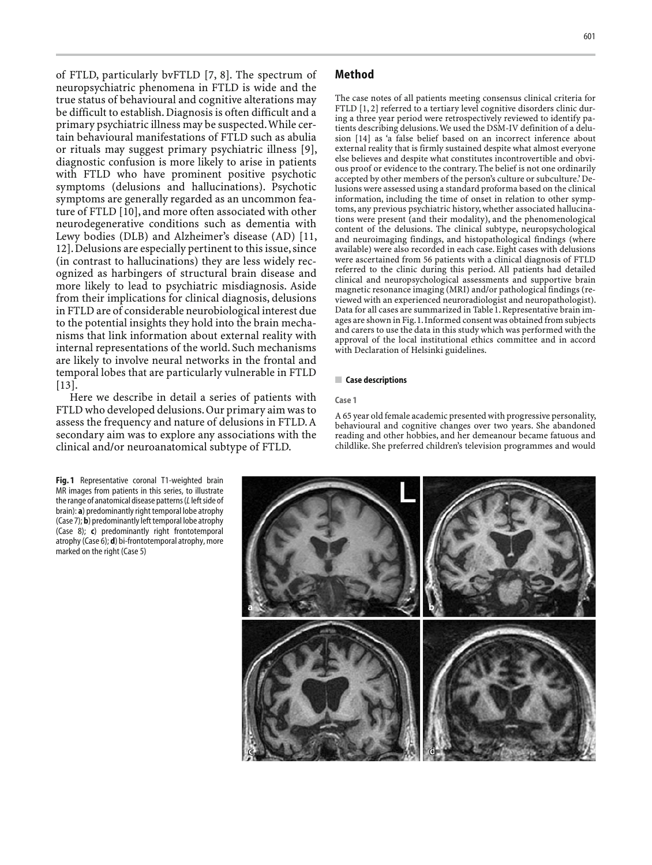of FTLD, particularly bvFTLD [7, 8]. The spectrum of neuropsychiatric phenomena in FTLD is wide and the true status of behavioural and cognitive alterations may be difficult to establish. Diagnosis is often difficult and a primary psychiatric illness may be suspected. While certain behavioural manifestations of FTLD such as abulia or rituals may suggest primary psychiatric illness [9], diagnostic confusion is more likely to arise in patients with FTLD who have prominent positive psychotic symptoms (delusions and hallucinations). Psychotic symptoms are generally regarded as an uncommon feature of FTLD [10], and more often associated with other neurodegenerative conditions such as dementia with Lewy bodies (DLB) and Alzheimer's disease (AD) [11, 12]. Delusions are especially pertinent to this issue, since (in contrast to hallucinations) they are less widely recognized as harbingers of structural brain disease and more likely to lead to psychiatric misdiagnosis. Aside from their implications for clinical diagnosis, delusions in FTLD are of considerable neurobiological interest due to the potential insights they hold into the brain mechanisms that link information about external reality with internal representations of the world. Such mechanisms are likely to involve neural networks in the frontal and temporal lobes that are particularly vulnerable in FTLD [13].

Here we describe in detail a series of patients with FTLD who developed delusions. Our primary aim was to assess the frequency and nature of delusions in FTLD. A secondary aim was to explore any associations with the clinical and/or neuroanatomical subtype of FTLD.

for the contract of the contract of the contract of the contract of the contract of the contract of the contract of the contract of the contract of the contract of the contract of the contract of the contract of the contra

# Method

The case notes of all patients meeting consensus clinical criteria for FTLD [1, 2] referred to a tertiary level cognitive disorders clinic during a three year period were retrospectively reviewed to identify patients describing delusions. We used the DSM-IV definition of a delusion [14] as 'a false belief based on an incorrect inference about external reality that is firmly sustained despite what almost everyone else believes and despite what constitutes incontrovertible and obvious proof or evidence to the contrary. The belief is not one ordinarily accepted by other members of the person's culture or subculture.' Delusions were assessed using a standard proforma based on the clinical information, including the time of onset in relation to other symptoms, any previous psychiatric history, whether associated hallucinations were present (and their modality), and the phenomenological content of the delusions. The clinical subtype, neuropsychological and neuroimaging findings, and histopathological findings (where available) were also recorded in each case. Eight cases with delusions were ascertained from 56 patients with a clinical diagnosis of FTLD referred to the clinic during this period. All patients had detailed clinical and neuropsychological assessments and supportive brain magnetic resonance imaging (MRI) and/or pathological findings (reviewed with an experienced neuroradiologist and neuropathologist). Data for all cases are summarized in Table 1. Representative brain images are shown in Fig. 1. Informed consent was obtained from subjects and carers to use the data in this study which was performed with the approval of the local institutional ethics committee and in accord with Declaration of Helsinki guidelines.

### ■ Case descriptions

### Case 1

A 65 year old female academic presented with progressive personality, behavioural and cognitive changes over two years. She abandoned reading and other hobbies, and her demeanour became fatuous and childlike. She preferred children's television programmes and would

Fig. 1 Representative coronal T1-weighted brain MR images from patients in this series, to illustrate the range of anatomical disease patterns (L left side of brain): a) predominantly right temporal lobe atrophy (Case 7); **b**) predominantly left temporal lobe atrophy (Case 8); c) predominantly right frontotemporal atrophy (Case 6); d) bi-frontotemporal atrophy, more marked on the right (Case 5)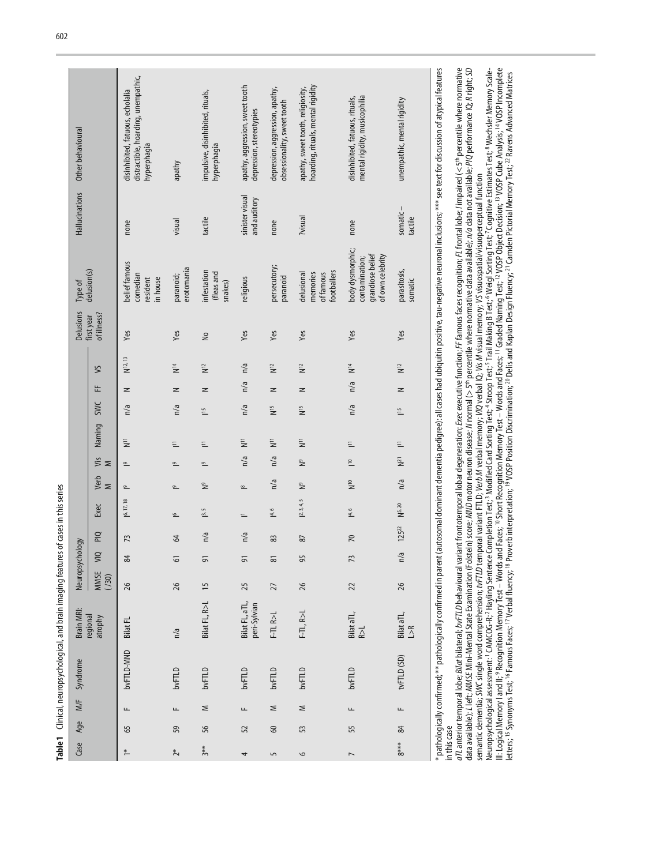|  | Other behavioural      |                           | distractible, hoarding, unempathic,<br>disinhibited, fatuous, echolalia<br>hyperphagia | apathy                  | impulsive, disinhibited, rituals,<br>hyperphagia | apathy, aggression, sweet tooth<br>depression, stereotypies | depression, aggression, apathy,<br>obsessionality, sweet tooth | hoarding, rituals, mental rigidity<br>apathy, sweet tooth, religiosity, | mental rigidity, musicophilia<br>disinhibited, fatuous, rituals,           | unempathic, mental rigidity | * pathologically confirmed; ** pathologically confirmed in parent (autosomal dominant dementia pedigree): all cases had ubiquitin positive, tau-negative neuronal inclusions; *** see text for discussion of atypical features |
|--|------------------------|---------------------------|----------------------------------------------------------------------------------------|-------------------------|--------------------------------------------------|-------------------------------------------------------------|----------------------------------------------------------------|-------------------------------------------------------------------------|----------------------------------------------------------------------------|-----------------------------|--------------------------------------------------------------------------------------------------------------------------------------------------------------------------------------------------------------------------------|
|  | Hallucinations         |                           | none                                                                                   | visual                  | tactile                                          | sinister visual<br>and auditory                             | none                                                           | ?visual                                                                 | none                                                                       | $sonatic -$<br>tactile      |                                                                                                                                                                                                                                |
|  | delusion(s)<br>Type of |                           | pelief famous<br>comedian<br>in house<br>resident                                      | erotomania<br>paranoid; | nfestation<br>(fleas and<br>snakes)              | religious                                                   | persecutory;<br>paranoid                                       | footballers<br>of famous<br>delusional<br>memories                      | body dysmorphic;<br>grandiose belief<br>of own celebrity<br>contamination; | parasitosis,<br>somatic     |                                                                                                                                                                                                                                |
|  | Delusions              | of illness?<br>first year | Yes                                                                                    | Yes                     | $\frac{1}{2}$                                    | Yes                                                         | Yes                                                            | Yes                                                                     | Yes                                                                        | Yes                         |                                                                                                                                                                                                                                |
|  |                        | ΥŚ                        | $N^{12, 13}$                                                                           | $\overline{N}^4$        | $\tilde{N}^2$                                    | n/a                                                         | $\tilde{N}^2$                                                  | $N^2$                                                                   | $\overline{M}^4$                                                           | $\tilde{N}^2$               |                                                                                                                                                                                                                                |
|  |                        | 出                         | z                                                                                      | z                       | $\geq$                                           | n/a                                                         | z                                                              | z                                                                       | n/a                                                                        | z                           |                                                                                                                                                                                                                                |
|  |                        | SWC                       | n/a                                                                                    | n/a                     | $\stackrel{5}{=}$                                | n/a                                                         | $N^{15}$                                                       | $N^{15}$                                                                | n/a                                                                        | $\overline{15}$             |                                                                                                                                                                                                                                |
|  |                        | Naming                    | $\bar{z}$                                                                              | $\equiv$                | $\equiv$                                         | $\bar{\mathbb{E}}$                                          | $\bar{z}$                                                      | $\bar{\mathbb{E}}$                                                      | $\equiv$                                                                   | $\equiv$                    |                                                                                                                                                                                                                                |
|  |                        | Vis<br>Σ                  | உ                                                                                      | $\overline{ }$          | $\overline{ }$                                   | n/a                                                         | n/a                                                            | $\tilde{z}$                                                             | $\approx$                                                                  | $\bar{N}^2$                 |                                                                                                                                                                                                                                |
|  | Neuropsychology        | Verb<br>Σ                 | உ                                                                                      | உ                       | $\tilde{=}$                                      | $\infty$                                                    | n/a                                                            | $\tilde{=}$                                                             | $\tilde{\mathbb{Z}}$                                                       | n/a                         |                                                                                                                                                                                                                                |
|  |                        | Exec                      | [6, 17, 18]                                                                            | $\overline{\mathsf{d}}$ | 3,5                                              | $=$                                                         | 4,6                                                            | [2, 3, 4, 5]                                                            | 14, 6                                                                      | N <sup>5, 20</sup>          |                                                                                                                                                                                                                                |
|  |                        | PIQ                       | 73                                                                                     | $\mathcal{R}$           | n/a                                              | n/a                                                         | 83                                                             | 87                                                                      | $\sqrt{2}$                                                                 | $125^{22}$                  |                                                                                                                                                                                                                                |
|  |                        | $\subseteq$               | 84                                                                                     | $\overline{6}$          | $\overline{9}$                                   | $\overline{6}$                                              | $\overline{8}$                                                 | 95                                                                      | 73                                                                         | n/a                         |                                                                                                                                                                                                                                |
|  |                        | MMSE<br>(/30)             | 26                                                                                     | $\frac{5}{2}$           | $\frac{15}{2}$                                   | 25                                                          | 27                                                             | $\frac{5}{2}$                                                           | $\overline{2}$                                                             | $\frac{5}{2}$               |                                                                                                                                                                                                                                |
|  | Brain MRI:             | regional<br>atrophy       | <b>Bilat FL</b>                                                                        | n/a                     | Bilat FL, R>L                                    | Bilat FL, aTL,<br>peri-Sylvian                              | F-TL R>L                                                       | $F$ -TL, $R$ >L                                                         | Bilat aTL,<br>$\overline{\geq}$                                            | Bilat aTL,<br>$\frac{1}{2}$ |                                                                                                                                                                                                                                |
|  | Syndrome               |                           | bvFTLD-MND                                                                             | bvFTLD                  | bvFTLD                                           | bvFTLD                                                      | bvFTLD                                                         | bvFTLD                                                                  | bvFTLD                                                                     | tvFTLD(SD)                  |                                                                                                                                                                                                                                |
|  | M/F                    |                           | щ                                                                                      | щ                       | Σ                                                | щ                                                           | Σ                                                              | Σ                                                                       | щ                                                                          | щ                           |                                                                                                                                                                                                                                |
|  | Age                    |                           | 65                                                                                     | 59                      | 56                                               | 52                                                          | $\pmb{\mathbb{S}}$                                             | 53                                                                      | 55                                                                         | 84                          |                                                                                                                                                                                                                                |
|  | Case                   |                           |                                                                                        | $\tilde{2}^*$           | $3**$                                            | 4                                                           | 5                                                              | $\circ$                                                                 | $\overline{ }$                                                             | $8***$                      | in this case                                                                                                                                                                                                                   |

Table 1 Clinical, neuropsychological, and brain imaging features of cases in this series Table 1 Clinical, neuropsychological, and brain imaging features of cases in this series

Neuropsychological assessment: ' CAMCOG-R; ? Hayling Sentence Completion Test; <sup>3</sup> Modified Card Sorting Test; <sup>4</sup> Stroop Test; <sup>5</sup> Trail Making B Test; <sup>6</sup>Weigl Sorting Test; <sup>7</sup>Cognitive Estimates Test; <sup>8</sup>Wechsler Memor aTL anterior temporal lobe; Bilat bilateral; bvFTLD behavioural variant frontotemporal lobar degeneration; Exec executive function; FF famous faces recognition; FL frontal lobe; I impaired (< 5th percentile where normative III: Logical Memory I and II; 9 Recognition Memory Test – Words and Faces; <sup>10</sup> Short Recognition Memory Test – Words and Faces; <sup>11</sup> Graded Naming Test; <sup>12</sup> VOSP Object Decision; <sup>13</sup> VOSP Cube Analysis; <sup>14</sup> VOSP Incomp data available); L left; MMSE Mini-Mental State Examination (Folstein) score; MND motor neuron disease; N normal (> 5<sup>th</sup> percentile where normative data available); *n/a* data not available; PIQ performance IQ; R right; Neuropsychological assessment: 1 CAMCOG-R; 2 Hayling Sentence Completion Test; 3 Modified Card Sorting Test; 4 Stroop Test; 5 Trail Making B Test; 6 Weigl Sorting Test; 7 Cognitive Estimates Test; 8 Wechsler Memory Scalesemantic dementia; SWC single word comprehension; tvFTLD temporal variant FTLD; Verb M verbal memory; VIQ verbal IQ; Vis M visual memory; VS visuospatial/visuoperceptual function

letters; 15 Synonyms Test; 16 Famous Faces; 17 Verbal fluency; 18 Proverb interpretation; 19 VOSP Position Discrimination; 20 Delis and Kaplan Design Fluency; 21 Camden Pictorial Memory Test; 22 Ravens Advanced Matrices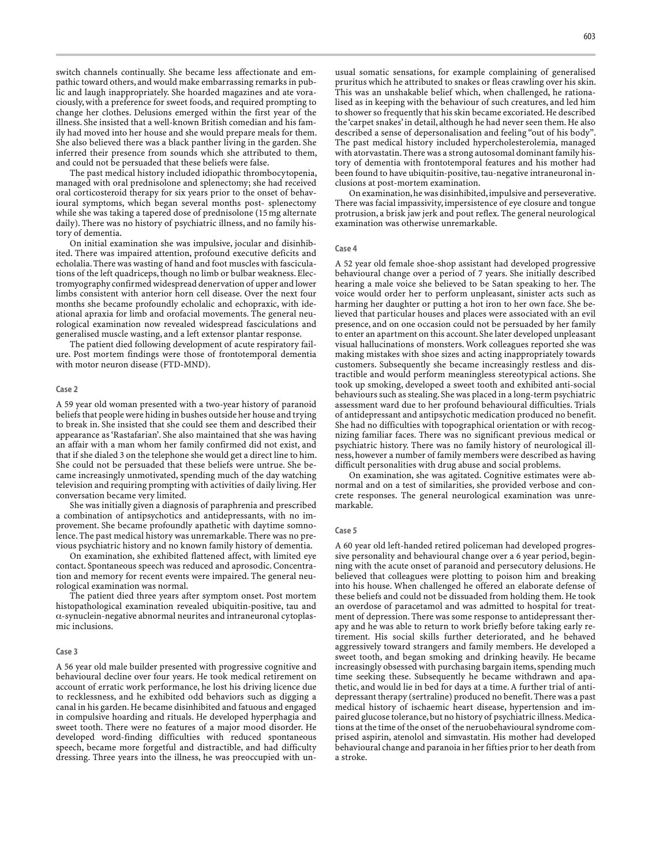switch channels continually. She became less affectionate and empathic toward others, and would make embarrassing remarks in public and laugh inappropriately. She hoarded magazines and ate voraciously, with a preference for sweet foods, and required prompting to change her clothes. Delusions emerged within the first year of the illness. She insisted that a well-known British comedian and his family had moved into her house and she would prepare meals for them. She also believed there was a black panther living in the garden. She inferred their presence from sounds which she attributed to them, and could not be persuaded that these beliefs were false.

 The past medical history included idiopathic thrombocytopenia, managed with oral prednisolone and splenectomy; she had received oral corticosteroid therapy for six years prior to the onset of behavioural symptoms, which began several months post- splenectomy while she was taking a tapered dose of prednisolone (15 mg alternate daily). There was no history of psychiatric illness, and no family history of dementia.

 On initial examination she was impulsive, jocular and disinhibited. There was impaired attention, profound executive deficits and echolalia. There was wasting of hand and foot muscles with fasciculations of the left quadriceps, though no limb or bulbar weakness. Electromyography confirmed widespread denervation of upper and lower limbs consistent with anterior horn cell disease. Over the next four months she became profoundly echolalic and echopraxic, with ideational apraxia for limb and orofacial movements. The general neurological examination now revealed widespread fasciculations and generalised muscle wasting, and a left extensor plantar response.

 The patient died following development of acute respiratory failure. Post mortem findings were those of frontotemporal dementia with motor neuron disease (FTD-MND).

#### Case 2

A 59 year old woman presented with a two-year history of paranoid beliefs that people were hiding in bushes outside her house and trying to break in. She insisted that she could see them and described their appearance as 'Rastafarian'. She also maintained that she was having an affair with a man whom her family confirmed did not exist, and that if she dialed 3 on the telephone she would get a direct line to him. She could not be persuaded that these beliefs were untrue. She became increasingly unmotivated, spending much of the day watching television and requiring prompting with activities of daily living. Her conversation became very limited.

 She was initially given a diagnosis of paraphrenia and prescribed a combination of antipsychotics and antidepressants, with no improvement. She became profoundly apathetic with daytime somnolence. The past medical history was unremarkable. There was no previous psychiatric history and no known family history of dementia.

 On examination, she exhibited flattened affect, with limited eye contact. Spontaneous speech was reduced and aprosodic. Concentration and memory for recent events were impaired. The general neurological examination was normal.

 The patient died three years after symptom onset. Post mortem histopathological examination revealed ubiquitin-positive, tau and α-synuclein-negative abnormal neurites and intraneuronal cytoplasmic inclusions.

#### Case 3

A 56 year old male builder presented with progressive cognitive and behavioural decline over four years. He took medical retirement on account of erratic work performance, he lost his driving licence due to recklessness, and he exhibited odd behaviors such as digging a canal in his garden. He became disinhibited and fatuous and engaged in compulsive hoarding and rituals. He developed hyperphagia and sweet tooth. There were no features of a major mood disorder. He developed word-finding difficulties with reduced spontaneous speech, became more forgetful and distractible, and had difficulty dressing. Three years into the illness, he was preoccupied with unusual somatic sensations, for example complaining of generalised pruritus which he attributed to snakes or fleas crawling over his skin. This was an unshakable belief which, when challenged, he rationalised as in keeping with the behaviour of such creatures, and led him to shower so frequently that his skin became excoriated. He described the 'carpet snakes' in detail, although he had never seen them. He also described a sense of depersonalisation and feeling "out of his body". The past medical history included hypercholesterolemia, managed with atorvastatin. There was a strong autosomal dominant family history of dementia with frontotemporal features and his mother had been found to have ubiquitin-positive, tau-negative intraneuronal inclusions at post-mortem examination.

 On examination, he was disinhibited, impulsive and perseverative. There was facial impassivity, impersistence of eye closure and tongue protrusion, a brisk jaw jerk and pout reflex. The general neurological examination was otherwise unremarkable.

#### Case 4

A 52 year old female shoe-shop assistant had developed progressive behavioural change over a period of 7 years. She initially described hearing a male voice she believed to be Satan speaking to her. The voice would order her to perform unpleasant, sinister acts such as harming her daughter or putting a hot iron to her own face. She believed that particular houses and places were associated with an evil presence, and on one occasion could not be persuaded by her family to enter an apartment on this account. She later developed unpleasant visual hallucinations of monsters. Work colleagues reported she was making mistakes with shoe sizes and acting inappropriately towards customers. Subsequently she became increasingly restless and distractible and would perform meaningless stereotypical actions. She took up smoking, developed a sweet tooth and exhibited anti-social behaviours such as stealing. She was placed in a long-term psychiatric assessment ward due to her profound behavioural difficulties. Trials of antidepressant and antipsychotic medication produced no benefit. She had no difficulties with topographical orientation or with recognizing familiar faces. There was no significant previous medical or psychiatric history. There was no family history of neurological illness, however a number of family members were described as having difficult personalities with drug abuse and social problems.

 On examination, she was agitated. Cognitive estimates were abnormal and on a test of similarities, she provided verbose and concrete responses. The general neurological examination was unremarkable.

#### Case 5

A 60 year old left-handed retired policeman had developed progressive personality and behavioural change over a 6 year period, beginning with the acute onset of paranoid and persecutory delusions. He believed that colleagues were plotting to poison him and breaking into his house. When challenged he offered an elaborate defense of these beliefs and could not be dissuaded from holding them. He took an overdose of paracetamol and was admitted to hospital for treatment of depression. There was some response to antidepressant therapy and he was able to return to work briefly before taking early retirement. His social skills further deteriorated, and he behaved aggressively toward strangers and family members. He developed a sweet tooth, and began smoking and drinking heavily. He became increasingly obsessed with purchasing bargain items, spending much time seeking these. Subsequently he became withdrawn and apathetic, and would lie in bed for days at a time. A further trial of antidepressant therapy (sertraline) produced no benefit. There was a past medical history of ischaemic heart disease, hypertension and impaired glucose tolerance, but no history of psychiatric illness. Medications at the time of the onset of the neruobehavioural syndrome comprised aspirin, atenolol and simvastatin. His mother had developed behavioural change and paranoia in her fifties prior to her death from a stroke.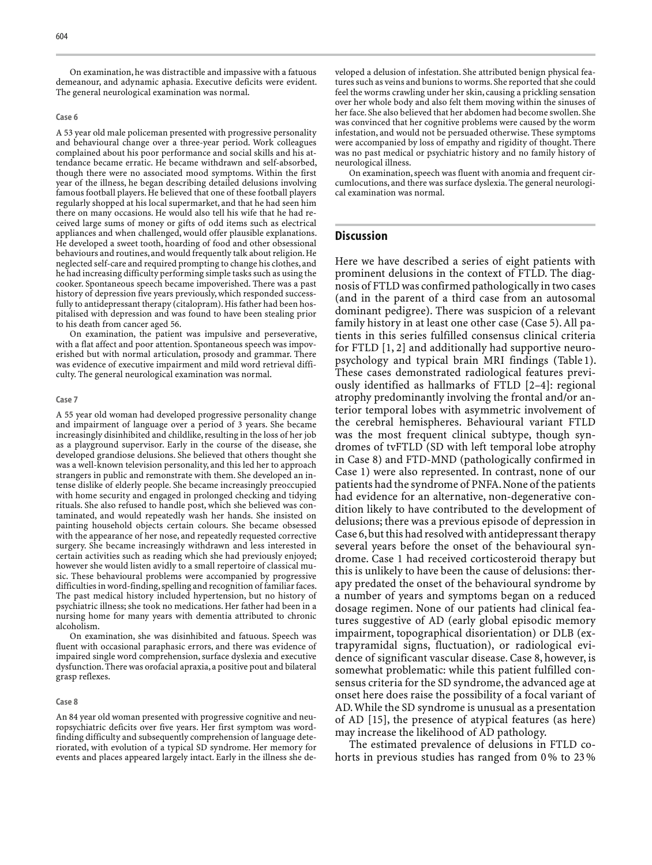On examination, he was distractible and impassive with a fatuous demeanour, and adynamic aphasia. Executive deficits were evident. The general neurological examination was normal.

#### Case 6

A 53 year old male policeman presented with progressive personality and behavioural change over a three-year period. Work colleagues complained about his poor performance and social skills and his attendance became erratic. He became withdrawn and self-absorbed, though there were no associated mood symptoms. Within the first year of the illness, he began describing detailed delusions involving famous football players. He believed that one of these football players regularly shopped at his local supermarket, and that he had seen him there on many occasions. He would also tell his wife that he had received large sums of money or gifts of odd items such as electrical appliances and when challenged, would offer plausible explanations. He developed a sweet tooth, hoarding of food and other obsessional behaviours and routines, and would frequently talk about religion. He neglected self-care and required prompting to change his clothes, and he had increasing difficulty performing simple tasks such as using the cooker. Spontaneous speech became impoverished. There was a past history of depression five years previously, which responded successfully to antidepressant therapy (citalopram). His father had been hospitalised with depression and was found to have been stealing prior to his death from cancer aged 56.

 On examination, the patient was impulsive and perseverative, with a flat affect and poor attention. Spontaneous speech was impoverished but with normal articulation, prosody and grammar. There was evidence of executive impairment and mild word retrieval difficulty. The general neurological examination was normal.

#### Case 7

A 55 year old woman had developed progressive personality change and impairment of language over a period of 3 years. She became increasingly disinhibited and childlike, resulting in the loss of her job as a playground supervisor. Early in the course of the disease, she developed grandiose delusions. She believed that others thought she was a well-known television personality, and this led her to approach strangers in public and remonstrate with them. She developed an intense dislike of elderly people. She became increasingly preoccupied with home security and engaged in prolonged checking and tidying rituals. She also refused to handle post, which she believed was contaminated, and would repeatedly wash her hands. She insisted on painting household objects certain colours. She became obsessed with the appearance of her nose, and repeatedly requested corrective surgery. She became increasingly withdrawn and less interested in certain activities such as reading which she had previously enjoyed; however she would listen avidly to a small repertoire of classical music. These behavioural problems were accompanied by progressive difficulties in word-finding, spelling and recognition of familiar faces. The past medical history included hypertension, but no history of psychiatric illness; she took no medications. Her father had been in a nursing home for many years with dementia attributed to chronic alcoholism.

 On examination, she was disinhibited and fatuous. Speech was fluent with occasional paraphasic errors, and there was evidence of impaired single word comprehension, surface dyslexia and executive dysfunction. There was orofacial apraxia, a positive pout and bilateral grasp reflexes.

#### Case 8

An 84 year old woman presented with progressive cognitive and neuropsychiatric deficits over five years. Her first symptom was wordfinding difficulty and subsequently comprehension of language deteriorated, with evolution of a typical SD syndrome. Her memory for events and places appeared largely intact. Early in the illness she developed a delusion of infestation. She attributed benign physical features such as veins and bunions to worms. She reported that she could feel the worms crawling under her skin, causing a prickling sensation over her whole body and also felt them moving within the sinuses of her face. She also believed that her abdomen had become swollen. She was convinced that her cognitive problems were caused by the worm infestation, and would not be persuaded otherwise. These symptoms were accompanied by loss of empathy and rigidity of thought. There was no past medical or psychiatric history and no family history of neurological illness.

 On examination, speech was fluent with anomia and frequent circumlocutions, and there was surface dyslexia. The general neurological examination was normal.

### **Discussion**

Here we have described a series of eight patients with prominent delusions in the context of FTLD. The diagnosis of FTLD was confirmed pathologically in two cases (and in the parent of a third case from an autosomal dominant pedigree). There was suspicion of a relevant family history in at least one other case (Case 5). All patients in this series fulfilled consensus clinical criteria for FTLD [1, 2] and additionally had supportive neuropsychology and typical brain MRI findings (Table 1). These cases demonstrated radiological features previously identified as hallmarks of FTLD [2–4]: regional atrophy predominantly involving the frontal and/or anterior temporal lobes with asymmetric involvement of the cerebral hemispheres. Behavioural variant FTLD was the most frequent clinical subtype, though syndromes of tvFTLD (SD with left temporal lobe atrophy in Case 8) and FTD-MND (pathologically confirmed in Case 1) were also represented. In contrast, none of our patients had the syndrome of PNFA. None of the patients had evidence for an alternative, non-degenerative condition likely to have contributed to the development of delusions; there was a previous episode of depression in Case 6, but this had resolved with antidepressant therapy several years before the onset of the behavioural syndrome. Case 1 had received corticosteroid therapy but this is unlikely to have been the cause of delusions: therapy predated the onset of the behavioural syndrome by a number of years and symptoms began on a reduced dosage regimen. None of our patients had clinical features suggestive of AD (early global episodic memory impairment, topographical disorientation) or DLB (extrapyramidal signs, fluctuation), or radiological evidence of significant vascular disease. Case 8, however, is somewhat problematic: while this patient fulfilled consensus criteria for the SD syndrome, the advanced age at onset here does raise the possibility of a focal variant of AD. While the SD syndrome is unusual as a presentation of AD [15], the presence of atypical features (as here) may increase the likelihood of AD pathology.

The estimated prevalence of delusions in FTLD cohorts in previous studies has ranged from 0 % to 23 %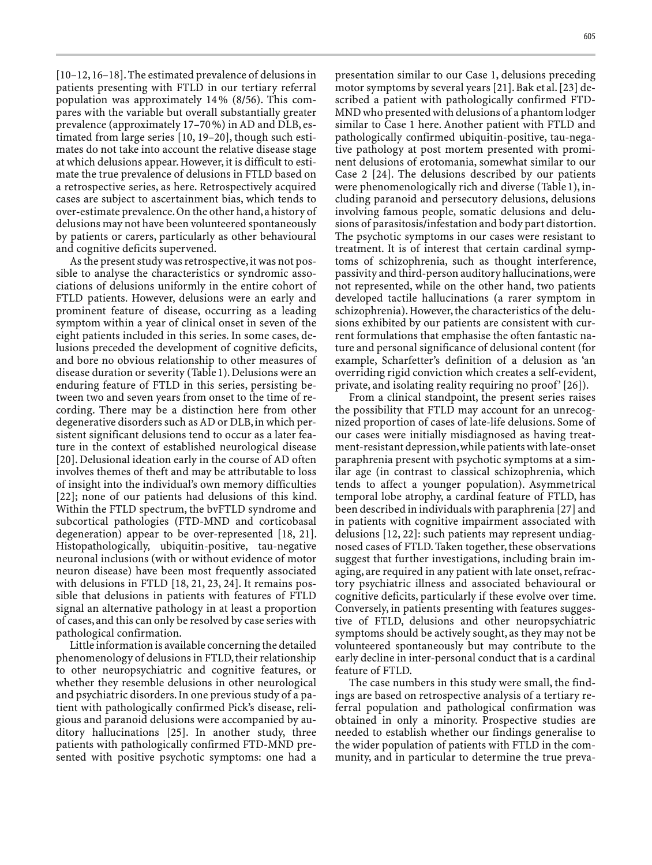[10–12, 16–18]. The estimated prevalence of delusions in patients presenting with FTLD in our tertiary referral population was approximately 14 % (8/56). This compares with the variable but overall substantially greater prevalence (approximately 17–70 %) in AD and DLB, estimated from large series [10, 19–20], though such estimates do not take into account the relative disease stage at which delusions appear. However, it is difficult to estimate the true prevalence of delusions in FTLD based on a retrospective series, as here. Retrospectively acquired cases are subject to ascertainment bias, which tends to over-estimate prevalence. On the other hand, a history of delusions may not have been volunteered spontaneously by patients or carers, particularly as other behavioural and cognitive deficits supervened.

As the present study was retrospective, it was not possible to analyse the characteristics or syndromic associations of delusions uniformly in the entire cohort of FTLD patients. However, delusions were an early and prominent feature of disease, occurring as a leading symptom within a year of clinical onset in seven of the eight patients included in this series. In some cases, delusions preceded the development of cognitive deficits, and bore no obvious relationship to other measures of disease duration or severity (Table 1). Delusions were an enduring feature of FTLD in this series, persisting between two and seven years from onset to the time of recording. There may be a distinction here from other degenerative disorders such as AD or DLB, in which persistent significant delusions tend to occur as a later feature in the context of established neurological disease [20]. Delusional ideation early in the course of AD often involves themes of theft and may be attributable to loss of insight into the individual's own memory difficulties [22]; none of our patients had delusions of this kind. Within the FTLD spectrum, the bvFTLD syndrome and subcortical pathologies (FTD-MND and corticobasal degeneration) appear to be over-represented [18, 21]. Histopathologically, ubiquitin-positive, tau-negative neuronal inclusions (with or without evidence of motor neuron disease) have been most frequently associated with delusions in FTLD [18, 21, 23, 24]. It remains possible that delusions in patients with features of FTLD signal an alternative pathology in at least a proportion of cases, and this can only be resolved by case series with pathological confirmation.

Little information is available concerning the detailed phenomenology of delusions in FTLD, their relationship to other neuropsychiatric and cognitive features, or whether they resemble delusions in other neurological and psychiatric disorders. In one previous study of a patient with pathologically confirmed Pick's disease, religious and paranoid delusions were accompanied by auditory hallucinations [25]. In another study, three patients with pathologically confirmed FTD-MND presented with positive psychotic symptoms: one had a presentation similar to our Case 1, delusions preceding motor symptoms by several years [21]. Bak et al. [23] described a patient with pathologically confirmed FTD-MND who presented with delusions of a phantom lodger similar to Case 1 here. Another patient with FTLD and pathologically confirmed ubiquitin-positive, tau-negative pathology at post mortem presented with prominent delusions of erotomania, somewhat similar to our Case 2 [24]. The delusions described by our patients were phenomenologically rich and diverse (Table 1), including paranoid and persecutory delusions, delusions involving famous people, somatic delusions and delusions of parasitosis/infestation and body part distortion. The psychotic symptoms in our cases were resistant to treatment. It is of interest that certain cardinal symptoms of schizophrenia, such as thought interference, passivity and third-person auditory hallucinations, were not represented, while on the other hand, two patients developed tactile hallucinations (a rarer symptom in schizophrenia). However, the characteristics of the delusions exhibited by our patients are consistent with current formulations that emphasise the often fantastic nature and personal significance of delusional content (for example, Scharfetter's definition of a delusion as 'an overriding rigid conviction which creates a self-evident, private, and isolating reality requiring no proof' [26]).

From a clinical standpoint, the present series raises the possibility that FTLD may account for an unrecognized proportion of cases of late-life delusions. Some of our cases were initially misdiagnosed as having treatment-resistant depression, while patients with late-onset paraphrenia present with psychotic symptoms at a similar age (in contrast to classical schizophrenia, which tends to affect a younger population). Asymmetrical temporal lobe atrophy, a cardinal feature of FTLD, has been described in individuals with paraphrenia [27] and in patients with cognitive impairment associated with delusions [12, 22]: such patients may represent undiagnosed cases of FTLD. Taken together, these observations suggest that further investigations, including brain imaging, are required in any patient with late onset, refractory psychiatric illness and associated behavioural or cognitive deficits, particularly if these evolve over time. Conversely, in patients presenting with features suggestive of FTLD, delusions and other neuropsychiatric symptoms should be actively sought, as they may not be volunteered spontaneously but may contribute to the early decline in inter-personal conduct that is a cardinal feature of FTLD.

The case numbers in this study were small, the findings are based on retrospective analysis of a tertiary referral population and pathological confirmation was obtained in only a minority. Prospective studies are needed to establish whether our findings generalise to the wider population of patients with FTLD in the community, and in particular to determine the true preva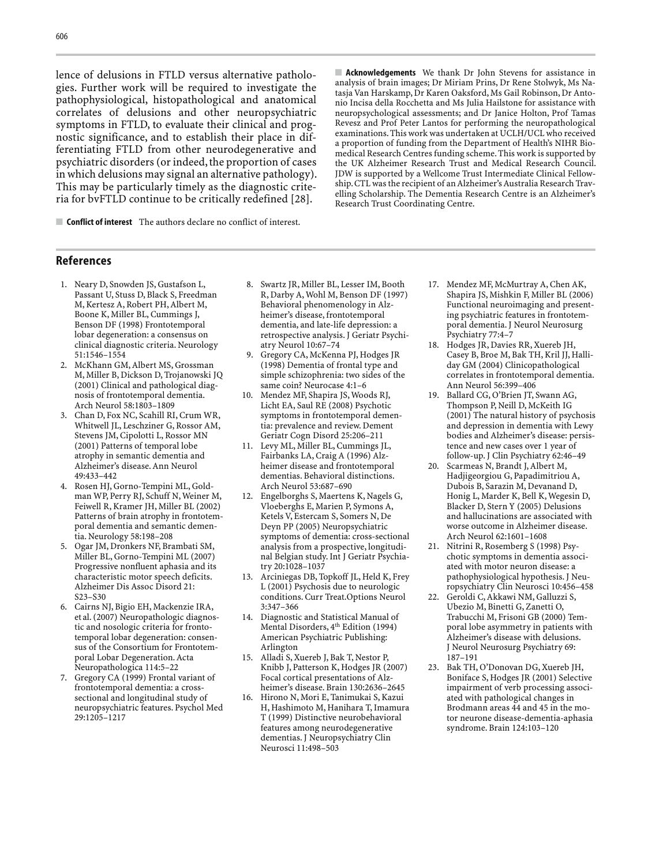lence of delusions in FTLD versus alternative pathologies. Further work will be required to investigate the pathophysiological, histopathological and anatomical correlates of delusions and other neuropsychiatric symptoms in FTLD, to evaluate their clinical and prognostic significance, and to establish their place in differentiating FTLD from other neurodegenerative and psychiatric disorders (or indeed, the proportion of cases in which delusions may signal an alternative pathology). This may be particularly timely as the diagnostic criteria for bvFTLD continue to be critically redefined [28].

■ **Conflict of interest** The authors declare no conflict of interest.

**E** Acknowledgements We thank Dr John Stevens for assistance in analysis of brain images; Dr Miriam Prins, Dr Rene Stolwyk, Ms Natasja Van Harskamp, Dr Karen Oaksford, Ms Gail Robinson, Dr Antonio Incisa della Rocchetta and Ms Julia Hailstone for assistance with neuropsychological assessments; and Dr Janice Holton, Prof Tamas Revesz and Prof Peter Lantos for performing the neuropathological examinations. This work was undertaken at UCLH/UCL who received a proportion of funding from the Department of Health's NIHR Biomedical Research Centres funding scheme. This work is supported by the UK Alzheimer Research Trust and Medical Research Council. JDW is supported by a Wellcome Trust Intermediate Clinical Fellowship. CTL was the recipient of an Alzheimer's Australia Research Travelling Scholarship. The Dementia Research Centre is an Alzheimer's Research Trust Coordinating Centre.

# References

- 1. Neary D, Snowden JS, Gustafson L, Passant U, Stuss D, Black S, Freedman M, Kertesz A, Robert PH, Albert M, Boone K, Miller BL, Cummings J, Benson DF (1998) Frontotemporal lobar degeneration: a consensus on clinical diagnostic criteria. Neurology 51:1546–1554
- 2. McKhann GM, Albert MS, Grossman M, Miller B, Dickson D, Trojanowski JQ (2001) Clinical and pathological diagnosis of frontotemporal dementia. Arch Neurol 58:1803–1809
- 3. Chan D, Fox NC, Scahill RI, Crum WR, Whitwell JL, Leschziner G, Rossor AM, Stevens JM, Cipolotti L, Rossor MN (2001) Patterns of temporal lobe atrophy in semantic dementia and Alzheimer's disease. Ann Neurol 49:433–442
- 4. Rosen HJ, Gorno-Tempini ML, Goldman WP, Perry RJ, Schuff N, Weiner M, Feiwell R, Kramer JH, Miller BL (2002) Patterns of brain atrophy in frontotemporal dementia and semantic dementia. Neurology 58:198–208
- 5. Ogar JM, Dronkers NF, Brambati SM, Miller BL, Gorno-Tempini ML (2007) Progressive nonfluent aphasia and its characteristic motor speech deficits. Alzheimer Dis Assoc Disord 21: S23–S30
- 6. Cairns NJ, Bigio EH, Mackenzie IRA, et al. (2007) Neuropathologic diagnostic and nosologic criteria for frontotemporal lobar degeneration: consensus of the Consortium for Frontotemporal Lobar Degeneration. Acta Neuropathologica 114:5–22
- 7. Gregory CA (1999) Frontal variant of frontotemporal dementia: a crosssectional and longitudinal study of neuropsychiatric features. Psychol Med 29:1205–1217
- 8. Swartz JR, Miller BL, Lesser IM, Booth R, Darby A, Wohl M, Benson DF (1997) Behavioral phenomenology in Alzheimer's disease, frontotemporal dementia, and late-life depression: a retrospective analysis. J Geriatr Psychiatry Neurol 10:67–74
- 9. Gregory CA, McKenna PJ, Hodges JR (1998) Dementia of frontal type and simple schizophrenia: two sides of the same coin? Neurocase 4:1–6
- 10. Mendez MF, Shapira JS, Woods RJ, Licht EA, Saul RE (2008) Psychotic symptoms in frontotemporal dementia: prevalence and review. Dement Geriatr Cogn Disord 25:206–211
- 11. Levy ML, Miller BL, Cummings JL, Fairbanks LA, Craig A (1996) Alzheimer disease and frontotemporal dementias. Behavioral distinctions. Arch Neurol 53:687–690
- 12. Engelborghs S, Maertens K, Nagels G, Vloeberghs E, Marien P, Symons A, Ketels V, Estercam S, Somers N, De Deyn PP (2005) Neuropsychiatric symptoms of dementia: cross-sectional analysis from a prospective, longitudinal Belgian study. Int J Geriatr Psychiatry 20:1028–1037
- 13. Arciniegas DB, Topkoff JL, Held K, Frey L (2001) Psychosis due to neurologic conditions. Curr Treat.Options Neurol 3:347–366
- 14. Diagnostic and Statistical Manual of Mental Disorders, 4<sup>th</sup> Edition (1994) American Psychiatric Publishing: Arlington
- 15. Alladi S, Xuereb J, Bak T, Nestor P, Knibb J, Patterson K, Hodges JR (2007) Focal cortical presentations of Alzheimer's disease. Brain 130:2636–2645
- 16. Hirono N, Mori E, Tanimukai S, Kazui H, Hashimoto M, Hanihara T, Imamura T (1999) Distinctive neurobehavioral features among neurodegenerative dementias. J Neuropsychiatry Clin Neurosci 11:498–503
- 17. Mendez MF, McMurtray A, Chen AK, Shapira JS, Mishkin F, Miller BL (2006) Functional neuroimaging and presenting psychiatric features in frontotemporal dementia. J Neurol Neurosurg Psychiatry 77:4–7
- 18. Hodges JR, Davies RR, Xuereb JH, Casey B, Broe M, Bak TH, Kril JJ, Halliday GM (2004) Clinicopathological correlates in frontotemporal dementia. Ann Neurol 56:399–406
- 19. Ballard CG, O'Brien JT, Swann AG, Thompson P, Neill D, McKeith IG (2001) The natural history of psychosis and depression in dementia with Lewy bodies and Alzheimer's disease: persistence and new cases over 1 year of follow-up. J Clin Psychiatry 62:46–49
- 20. Scarmeas N, Brandt J, Albert M, Hadjigeorgiou G, Papadimitriou A, Dubois B, Sarazin M, Devanand D, Honig L, Marder K, Bell K, Wegesin D, Blacker D, Stern Y (2005) Delusions and hallucinations are associated with worse outcome in Alzheimer disease. Arch Neurol 62:1601–1608
- 21. Nitrini R, Rosemberg S (1998) Psychotic symptoms in dementia associated with motor neuron disease: a pathophysiological hypothesis. J Neuropsychiatry Clin Neurosci 10:456–458
- 22. Geroldi C, Akkawi NM, Galluzzi S, Ubezio M, Binetti G, Zanetti O, Trabucchi M, Frisoni GB (2000) Temporal lobe asymmetry in patients with Alzheimer's disease with delusions. J Neurol Neurosurg Psychiatry 69: 187–191
- 23. Bak TH, O'Donovan DG, Xuereb JH, Boniface S, Hodges JR (2001) Selective impairment of verb processing associated with pathological changes in Brodmann areas 44 and 45 in the motor neurone disease-dementia-aphasia syndrome. Brain 124:103–120